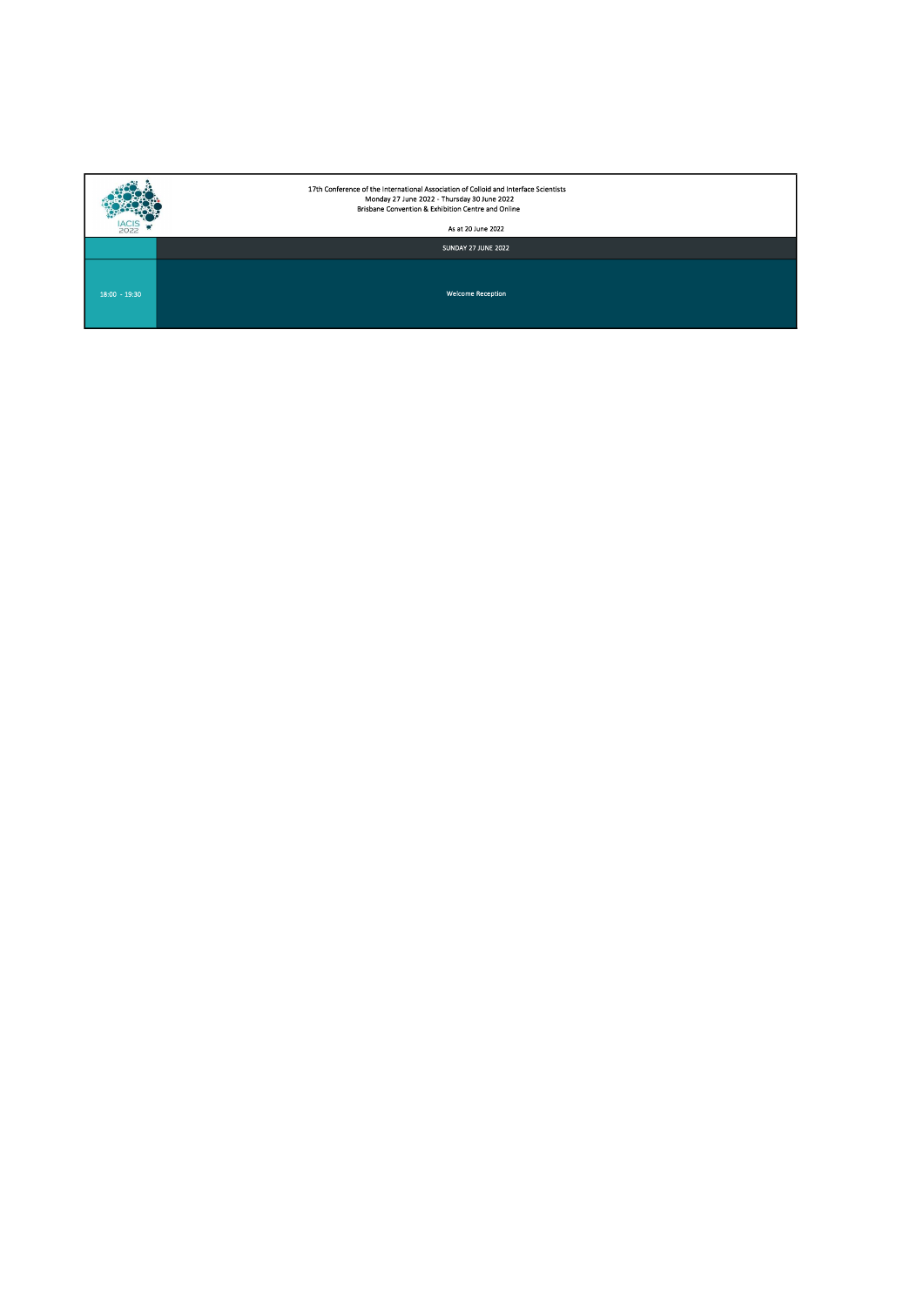|                 | 17th Conference of the International Association of Colloid and Interface Scientists<br>Monday 27 June 2022 - Thursday 30 June 2022<br>Brisbane Convention & Exhibition Centre and Online |
|-----------------|-------------------------------------------------------------------------------------------------------------------------------------------------------------------------------------------|
| 2022            | As at 20 June 2022                                                                                                                                                                        |
|                 | SUNDAY 27 JUNE 2022                                                                                                                                                                       |
| $18:00 - 19:30$ | <b>Welcome Reception</b>                                                                                                                                                                  |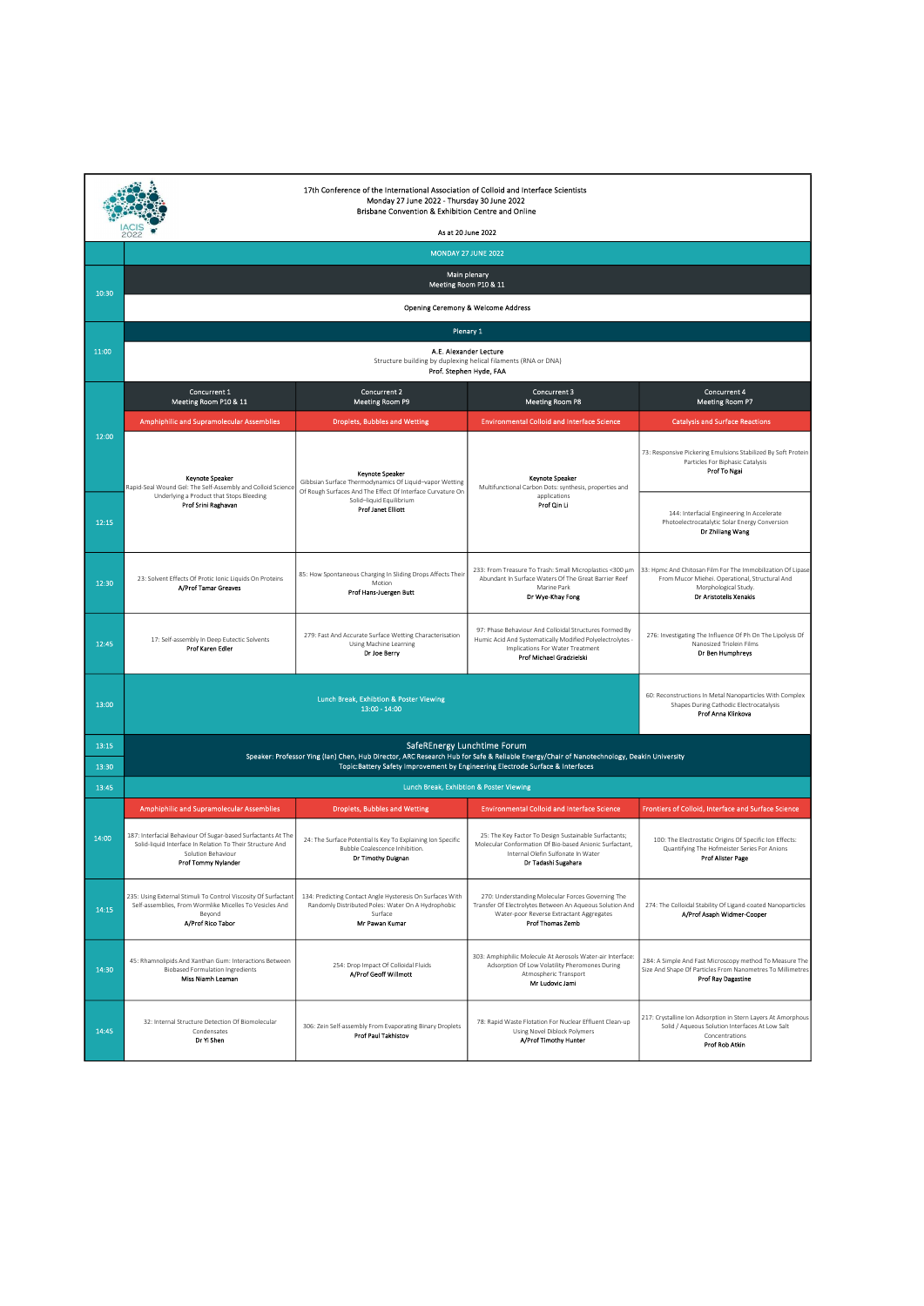| 17th Conference of the International Association of Colloid and Interface Scientists<br>Monday 27 June 2022 - Thursday 30 June 2022<br>Brisbane Convention & Exhibition Centre and Online |                                                                                                                                                                        |                                                                                                                                                                         |                                                                                                                                                                                      |                                                                                                                                                                 |  |  |
|-------------------------------------------------------------------------------------------------------------------------------------------------------------------------------------------|------------------------------------------------------------------------------------------------------------------------------------------------------------------------|-------------------------------------------------------------------------------------------------------------------------------------------------------------------------|--------------------------------------------------------------------------------------------------------------------------------------------------------------------------------------|-----------------------------------------------------------------------------------------------------------------------------------------------------------------|--|--|
|                                                                                                                                                                                           | As at 20 June 2022<br>2022<br><b>MONDAY 27 JUNE 2022</b>                                                                                                               |                                                                                                                                                                         |                                                                                                                                                                                      |                                                                                                                                                                 |  |  |
|                                                                                                                                                                                           | Main plenary                                                                                                                                                           |                                                                                                                                                                         |                                                                                                                                                                                      |                                                                                                                                                                 |  |  |
| 10:30                                                                                                                                                                                     | Meeting Room P10 & 11                                                                                                                                                  |                                                                                                                                                                         |                                                                                                                                                                                      |                                                                                                                                                                 |  |  |
|                                                                                                                                                                                           |                                                                                                                                                                        | Opening Ceremony & Welcome Address                                                                                                                                      |                                                                                                                                                                                      |                                                                                                                                                                 |  |  |
| 11:00                                                                                                                                                                                     |                                                                                                                                                                        | Plenary 1<br>A.E. Alexander Lecture                                                                                                                                     |                                                                                                                                                                                      |                                                                                                                                                                 |  |  |
|                                                                                                                                                                                           |                                                                                                                                                                        | Structure building by duplexing helical filaments (RNA or DNA)<br>Prof. Stephen Hyde, FAA                                                                               |                                                                                                                                                                                      |                                                                                                                                                                 |  |  |
|                                                                                                                                                                                           | Concurrent 1<br>Meeting Room P10 & 11                                                                                                                                  | Concurrent 2<br>Meeting Room P9                                                                                                                                         | Concurrent 3<br><b>Meeting Room P8</b>                                                                                                                                               | Concurrent 4<br><b>Meeting Room P7</b>                                                                                                                          |  |  |
|                                                                                                                                                                                           | <b>Amphiphilic and Supramolecular Assemblies</b>                                                                                                                       | <b>Droplets, Bubbles and Wetting</b>                                                                                                                                    | <b>Environmental Colloid and Interface Science</b>                                                                                                                                   | <b>Catalysis and Surface Reactions</b>                                                                                                                          |  |  |
| 12:00                                                                                                                                                                                     | Kevnote Speaker<br>Rapid-Seal Wound Gel: The Self-Assembly and Colloid Science                                                                                         | <b>Keynote Speaker</b><br>Gibbsian Surface Thermodynamics Of Liquid-vapor Wetting                                                                                       | Keynote Speaker<br>Multifunctional Carbon Dots: synthesis, properties and                                                                                                            | 73: Responsive Pickering Emulsions Stabilized By Soft Protein<br>Particles For Biphasic Catalysis<br>Prof To Ngai                                               |  |  |
| 12:15                                                                                                                                                                                     | Underlying a Product that Stops Bleeding<br>Prof Srini Raghavan                                                                                                        | Of Rough Surfaces And The Effect Of Interface Curvature On<br>Solid-liquid Equilibrium<br><b>Prof Janet Elliott</b>                                                     | applications<br>Prof Qin Li                                                                                                                                                          | 144: Interfacial Engineering In Accelerate<br>Photoelectrocatalytic Solar Energy Conversion<br>Dr Zhiliang Wang                                                 |  |  |
| 12:30                                                                                                                                                                                     | 23: Solvent Effects Of Protic Ionic Liquids On Proteins<br>A/Prof Tamar Greaves                                                                                        | 85: How Spontaneous Charging In Sliding Drops Affects Their<br>Motion<br>Prof Hans-Juergen Butt                                                                         | 233: From Treasure To Trash: Small Microplastics <300 µm<br>Abundant In Surface Waters Of The Great Barrier Reef<br>Marine Park<br>Dr Wye-Khay Fong                                  | 33: Hpmc And Chitosan Film For The Immobilization Of Lipase<br>From Mucor Miehei. Operational, Structural And<br>Morphological Study.<br>Dr Aristotelis Xenakis |  |  |
| 12:45                                                                                                                                                                                     | 17: Self-assembly In Deep Eutectic Solvents<br>Prof Karen Edler                                                                                                        | 279: Fast And Accurate Surface Wetting Characterisation<br><b>Using Machine Learning</b><br>Dr Joe Berry                                                                | 97: Phase Behaviour And Colloidal Structures Formed By<br>Humic Acid And Systematically Modified Polyelectrolytes -<br>Implications For Water Treatment<br>Prof Michael Gradzielski  | 276: Investigating The Influence Of Ph On The Lipolysis Of<br>Nanosized Triolein Films<br>Dr Ben Humphreys                                                      |  |  |
| 13:00                                                                                                                                                                                     |                                                                                                                                                                        | Lunch Break, Exhibtion & Poster Viewing<br>$13:00 - 14:00$                                                                                                              |                                                                                                                                                                                      | 60: Reconstructions In Metal Nanoparticles With Complex<br>Shapes During Cathodic Electrocatalysis<br>Prof Anna Klinkova                                        |  |  |
| 13:15                                                                                                                                                                                     |                                                                                                                                                                        | SafeREnergy Lunchtime Forum<br>Speaker: Professor Ying (Ian) Chen, Hub Director, ARC Research Hub for Safe & Reliable Energy/Chair of Nanotechnology, Deakin University |                                                                                                                                                                                      |                                                                                                                                                                 |  |  |
| 13:30                                                                                                                                                                                     |                                                                                                                                                                        | Topic: Battery Safety Improvement by Engineering Electrode Surface & Interfaces                                                                                         |                                                                                                                                                                                      |                                                                                                                                                                 |  |  |
| 13:45                                                                                                                                                                                     | Lunch Break, Exhibtion & Poster Viewing                                                                                                                                |                                                                                                                                                                         |                                                                                                                                                                                      |                                                                                                                                                                 |  |  |
|                                                                                                                                                                                           | <b>Amphiphilic and Supramolecular Assemblies</b>                                                                                                                       | <b>Droplets, Bubbles and Wetting</b>                                                                                                                                    | <b>Environmental Colloid and Interface Science</b>                                                                                                                                   | Frontiers of Colloid, Interface and Surface Science                                                                                                             |  |  |
| 14:00                                                                                                                                                                                     | 187: Interfacial Behaviour Of Sugar-based Surfactants At The<br>Solid-liquid Interface In Relation To Their Structure And<br>Solution Behaviour<br>Prof Tommy Nylander | 24: The Surface Potential Is Key To Explaining Ion Specific<br>Bubble Coalescence Inhibition.<br>Dr Timothy Duignan                                                     | 25: The Key Factor To Design Sustainable Surfactants;<br>Molecular Conformation Of Bio-based Anionic Surfactant,<br>Internal Olefin Sulfonate In Water<br>Dr Tadashi Sugahara        | 100: The Electrostatic Origins Of Specific Ion Effects:<br>Quantifying The Hofmeister Series For Anions<br><b>Prof Alister Page</b>                             |  |  |
| 14:15                                                                                                                                                                                     | 235: Using External Stimuli To Control Viscosity Of Surfactant<br>Self-assemblies, From Wormlike Micelles To Vesicles And<br>Beyond<br>A/Prof Rico Tabor               | 134: Predicting Contact Angle Hysteresis On Surfaces With<br>Randomly Distributed Poles: Water On A Hydrophobic<br>Surface<br>Mr Pawan Kumar                            | 270: Understanding Molecular Forces Governing The<br>Transfer Of Electrolytes Between An Aqueous Solution And<br>Water-poor Reverse Extractant Aggregates<br><b>Prof Thomas Zemb</b> | 274: The Colloidal Stability Of Ligand-coated Nanoparticles<br>A/Prof Asaph Widmer-Cooper                                                                       |  |  |
| 14:30                                                                                                                                                                                     | 45: Rhamnolipids And Xanthan Gum: Interactions Between<br><b>Biobased Formulation Ingredients</b><br>Miss Niamh Learnan                                                | 254: Drop Impact Of Colloidal Fluids<br>A/Prof Geoff Willmott                                                                                                           | 303: Amphiphilic Molecule At Aerosols Water-air Interface:<br>Adsorption Of Low Volatility Pheromones During<br>Atmospheric Transport<br>Mr Ludovic Jami                             | 284: A Simple And Fast Microscopy method To Measure The<br>Size And Shape Of Particles From Nanometres To Millimetres<br><b>Prof Ray Dagastine</b>              |  |  |
| 14:45                                                                                                                                                                                     | 32: Internal Structure Detection Of Biomolecular<br>Condensates<br>Dr Yi Shen                                                                                          | 306: Zein Self-assembly From Evaporating Binary Droplets<br>Prof Paul Takhistov                                                                                         | 78: Rapid Waste Flotation For Nuclear Effluent Clean-up<br>Using Novel Diblock Polymers<br>A/Prof Timothy Hunter                                                                     | 217: Crystalline Ion Adsorption in Stern Layers At Amorphous<br>Solid / Aqueous Solution Interfaces At Low Salt<br>Concentrations<br><b>Prof Rob Atkin</b>      |  |  |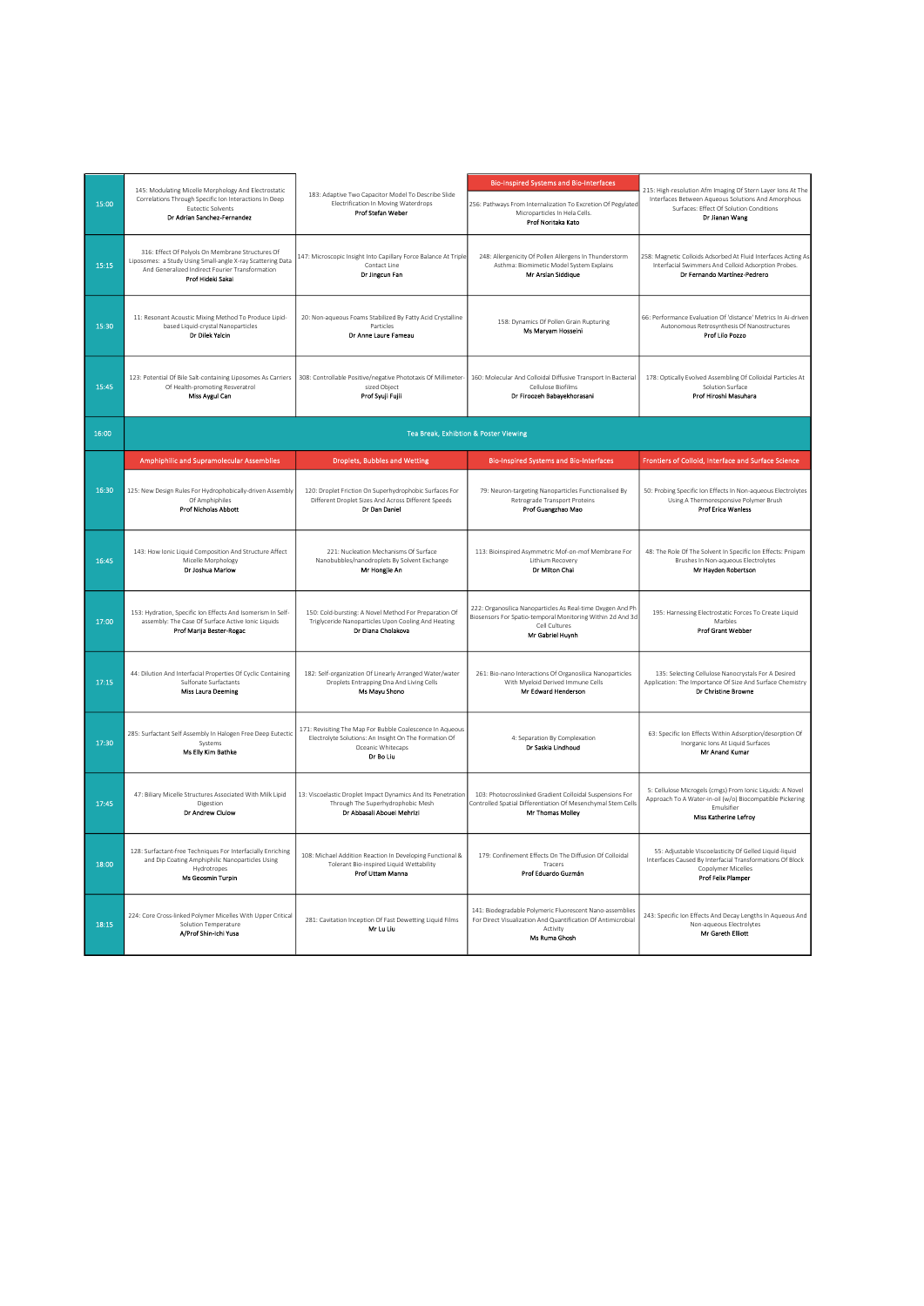|       |                                                                                                                                                                                        | 183: Adaptive Two Capacitor Model To Describe Slide<br>Electrification In Moving Waterdrops<br>Prof Stefan Weber                                     | <b>Bio-Inspired Systems and Bio-Interfaces</b>                                                                                                                |                                                                                                                                                                                |
|-------|----------------------------------------------------------------------------------------------------------------------------------------------------------------------------------------|------------------------------------------------------------------------------------------------------------------------------------------------------|---------------------------------------------------------------------------------------------------------------------------------------------------------------|--------------------------------------------------------------------------------------------------------------------------------------------------------------------------------|
| 15:00 | 145: Modulating Micelle Morphology And Electrostatic<br>Correlations Through Specific Ion Interactions In Deep<br><b>Eutectic Solvents</b><br>Dr Adrian Sanchez-Fernandez              |                                                                                                                                                      | 256: Pathways From Internalization To Excretion Of Pegylated<br>Microparticles In Hela Cells.<br>Prof Noritaka Kato                                           | 215: High-resolution Afm Imaging Of Stern Layer Ions At The<br>Interfaces Between Aqueous Solutions And Amorphous<br>Surfaces: Effect Of Solution Conditions<br>Dr Jianan Wang |
| 15:15 | 316: Effect Of Polyols On Membrane Structures Of<br>Liposomes: a Study Using Small-angle X-ray Scattering Data<br>And Generalized Indirect Fourier Transformation<br>Prof Hideki Sakai | 147: Microscopic Insight Into Capillary Force Balance At Triple<br>Contact Line<br>Dr Jingcun Fan                                                    | 248: Allergenicity Of Pollen Allergens In Thunderstorm<br>Asthma: Biomimetic Model System Explains<br>Mr Arslan Siddique                                      | 258: Magnetic Colloids Adsorbed At Fluid Interfaces Acting As<br>Interfacial Swimmers And Colloid Adsorption Probes.<br>Dr Fernando Martínez-Pedrero                           |
| 15:30 | 11: Resonant Acoustic Mixing Method To Produce Lipid-<br>based Liquid-crystal Nanoparticles<br>Dr Dilek Yalcin                                                                         | 20: Non-aqueous Foams Stabilized By Fatty Acid Crystalline<br>Particles<br>Dr Anne Laure Fameau                                                      | 158: Dynamics Of Pollen Grain Rupturing<br>Ms Maryam Hosseini                                                                                                 | 66: Performance Evaluation Of 'distance' Metrics In Ai-driven<br>Autonomous Retrosynthesis Of Nanostructures<br>Prof Lilo Pozzo                                                |
| 15:45 | 123: Potential Of Bile Salt-containing Liposomes As Carriers<br>Of Health-promoting Resveratrol<br>Miss Aygul Can                                                                      | 308: Controllable Positive/negative Phototaxis Of Millimeter-<br>sized Object<br>Prof Syuji Fujii                                                    | 160: Molecular And Colloidal Diffusive Transport In Bacterial<br>Cellulose Biofilms<br>Dr Firoozeh Babayekhorasani                                            | 178: Optically Evolved Assembling Of Colloidal Particles At<br>Solution Surface<br>Prof Hiroshi Masuhara                                                                       |
| 16:00 |                                                                                                                                                                                        | Tea Break, Exhibtion & Poster Viewing                                                                                                                |                                                                                                                                                               |                                                                                                                                                                                |
|       | <b>Amphiphilic and Supramolecular Assemblies</b>                                                                                                                                       | <b>Droplets, Bubbles and Wetting</b>                                                                                                                 | <b>Bio-Inspired Systems and Bio-Interfaces</b>                                                                                                                | Frontiers of Colloid, Interface and Surface Science                                                                                                                            |
| 16:30 | 125: New Design Rules For Hydrophobically-driven Assembly<br>Of Amphiphiles<br><b>Prof Nicholas Abbott</b>                                                                             | 120: Droplet Friction On Superhydrophobic Surfaces For<br>Different Droplet Sizes And Across Different Speeds<br>Dr Dan Daniel                       | 79: Neuron-targeting Nanoparticles Functionalised By<br>Retrograde Transport Proteins<br>Prof Guangzhao Mao                                                   | 50: Probing Specific Ion Effects In Non-aqueous Electrolytes<br>Using A Thermoresponsive Polymer Brush<br>Prof Erica Wanless                                                   |
| 16:45 | 143: How Ionic Liquid Composition And Structure Affect<br>Micelle Morphology<br>Dr Joshua Marlow                                                                                       | 221: Nucleation Mechanisms Of Surface<br>Nanobubbles/nanodroplets By Solvent Exchange<br>Mr Hongjie An                                               | 113: Bioinspired Asymmetric Mof-on-mof Membrane For<br>Lithium Recovery<br>Dr Milton Chai                                                                     | 48: The Role Of The Solvent In Specific Ion Effects: Pnipam<br>Brushes In Non-aqueous Electrolytes<br>Mr Hayden Robertson                                                      |
| 17:00 | 153: Hydration, Specific Ion Effects And Isomerism In Self-<br>assembly: The Case Of Surface Active Ionic Liquids<br>Prof Marija Bester-Rogac                                          | 150: Cold-bursting: A Novel Method For Preparation Of<br>Triglyceride Nanoparticles Upon Cooling And Heating<br>Dr Diana Cholakova                   | 222: Organosilica Nanoparticles As Real-time Oxygen And Ph<br>Biosensors For Spatio-temporal Monitoring Within 2d And 3d<br>Cell Cultures<br>Mr Gabriel Huynh | 195: Harnessing Electrostatic Forces To Create Liquid<br>Marbles<br><b>Prof Grant Webber</b>                                                                                   |
| 17:15 | 44: Dilution And Interfacial Properties Of Cyclic Containing<br>Sulfonate Surfactants<br><b>Miss Laura Deeming</b>                                                                     | 182: Self-organization Of Linearly Arranged Water/water<br>Droplets Entrapping Dna And Living Cells<br>Ms Mayu Shono                                 | 261: Bio-nano Interactions Of Organosilica Nanoparticles<br>With Myeloid Derived Immune Cells<br>Mr Edward Henderson                                          | 135: Selecting Cellulose Nanocrystals For A Desired<br>Application: The Importance Of Size And Surface Chemistry<br>Dr Christine Browne                                        |
| 17.30 | 285: Surfactant Self Assembly In Halogen Free Deep Eutectic<br>Systems<br>Ms Elly Kim Bathke                                                                                           | 171: Revisiting The Map For Bubble Coalescence In Aqueous<br>Electrolyte Solutions: An Insight On The Formation Of<br>Oceanic Whitecaps<br>Dr Bo Liu | 4: Separation By Complexation<br>Dr Saskia Lindhoud                                                                                                           | 63: Specific Ion Effects Within Adsorption/desorption Of<br>Inorganic Ions At Liquid Surfaces<br>Mr Anand Kumar                                                                |
| 17:45 | 47: Biliary Micelle Structures Associated With Milk Lipid<br>Digestion<br>Dr Andrew Clulow                                                                                             | 13: Viscoelastic Droplet Impact Dynamics And Its Penetration<br>Through The Superhydrophobic Mesh<br>Dr Abbasali Abouei Mehrizi                      | 103: Photocrosslinked Gradient Colloidal Suspensions For<br>Controlled Spatial Differentiation Of Mesenchymal Stem Cells<br>Mr Thomas Molley                  | 5: Cellulose Microgels (cmgs) From Ionic Liquids: A Novel<br>Approach To A Water-in-oil (w/o) Biocompatible Pickering<br>Emulsifier<br>Miss Katherine Lefroy                   |
| 18:00 | 128: Surfactant-free Techniques For Interfacially Enriching<br>and Dip Coating Amphiphilic Nanoparticles Using<br>Hydrotropes<br>Ms Geosmin Turpin                                     | 108: Michael Addition Reaction In Developing Functional &<br>Tolerant Bio-inspired Liquid Wettability<br><b>Prof Uttam Manna</b>                     | 179: Confinement Effects On The Diffusion Of Colloidal<br>Tracers<br>Prof Eduardo Guzmán                                                                      | 55: Adjustable Viscoelasticity Of Gelled Liquid-liquid<br>Interfaces Caused By Interfacial Transformations Of Block<br>Copolymer Micelles<br><b>Prof Felix Plamper</b>         |
| 18:15 | 224: Core Cross-linked Polymer Micelles With Upper Critical<br>Solution Temperature<br>A/Prof Shin-Ichi Yusa                                                                           | 281: Cavitation Inception Of Fast Dewetting Liquid Films<br>Mr Lu Liu                                                                                | 141: Biodegradable Polymeric Fluorescent Nano-assemblies<br>For Direct Visualization And Quantification Of Antimicrobial<br>Activity<br>Ms Ruma Ghosh         | 243: Specific Ion Effects And Decay Lengths In Aqueous And<br>Non-aqueous Electrolytes<br>Mr Gareth Elliott                                                                    |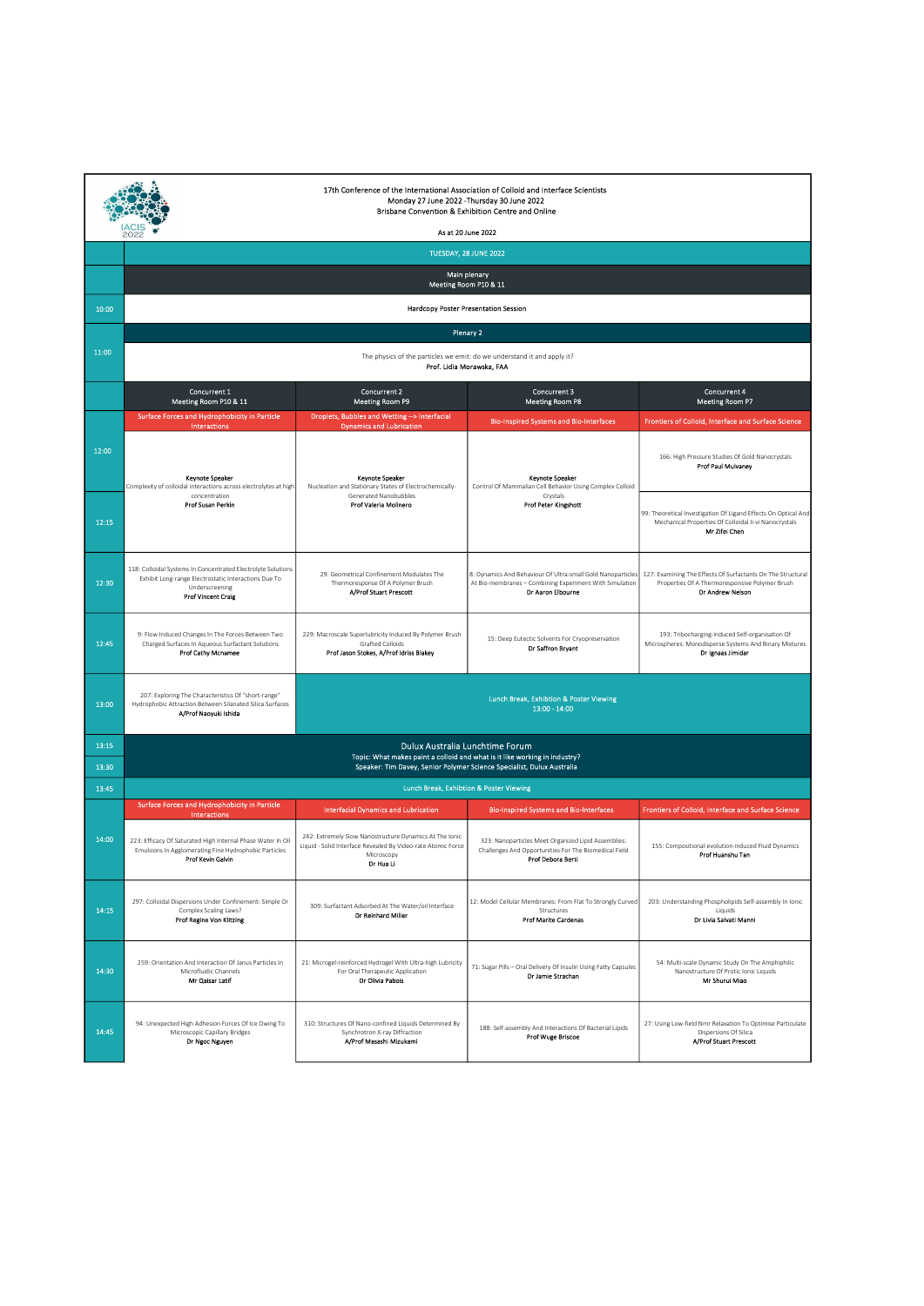|       | 17th Conference of the International Association of Colloid and Interface Scientists<br>Monday 27 June 2022 - Thursday 30 June 2022<br>Brisbane Convention & Exhibition Centre and Online<br>As at 20 June 2022<br>2022 |                                                                                                                                                      |                                                                                                                                             |                                                                                                                                          |  |
|-------|-------------------------------------------------------------------------------------------------------------------------------------------------------------------------------------------------------------------------|------------------------------------------------------------------------------------------------------------------------------------------------------|---------------------------------------------------------------------------------------------------------------------------------------------|------------------------------------------------------------------------------------------------------------------------------------------|--|
|       |                                                                                                                                                                                                                         |                                                                                                                                                      | TUESDAY, 28 JUNE 2022                                                                                                                       |                                                                                                                                          |  |
|       | Main plenary<br>Meeting Room P10 & 11                                                                                                                                                                                   |                                                                                                                                                      |                                                                                                                                             |                                                                                                                                          |  |
| 10:00 |                                                                                                                                                                                                                         |                                                                                                                                                      | Hardcopy Poster Presentation Session                                                                                                        |                                                                                                                                          |  |
|       |                                                                                                                                                                                                                         |                                                                                                                                                      | Plenary 2                                                                                                                                   |                                                                                                                                          |  |
| 11:00 |                                                                                                                                                                                                                         |                                                                                                                                                      | The physics of the particles we emit: do we understand it and apply it?<br>Prof. Lidia Morawska, FAA                                        |                                                                                                                                          |  |
|       | Concurrent 1<br>Meeting Room P10 & 11                                                                                                                                                                                   | Concurrent 2<br><b>Meeting Room P9</b>                                                                                                               | Concurrent 3<br>Meeting Room P8                                                                                                             | Concurrent 4<br><b>Meeting Room P7</b>                                                                                                   |  |
|       | <b>Surface Forces and Hydrophobicity in Particle</b><br><b>Interactions</b>                                                                                                                                             | Droplets, Bubbles and Wetting -- > Interfacial<br><b>Dynamics and Lubrication</b>                                                                    | <b>Bio-Inspired Systems and Bio-Interfaces</b>                                                                                              | Frontiers of Colloid, Interface and Surface Science                                                                                      |  |
| 12:00 | Keynote Speaker<br>Complexity of colloidal interactions across electrolytes at high<br>concentration<br>Prof Susan Perkin                                                                                               | <b>Keynote Speaker</b><br>Nucleation and Stationary States of Electrochemically-<br>Generated Nanobubbles<br>Prof Valeria Molinero                   | <b>Keynote Speaker</b><br>Control Of Mammalian Cell Behavior Using Complex Colloid<br>Crystals<br><b>Prof Peter Kingshott</b>               | 166: High Pressure Studies Of Gold Nanocrystals<br><b>Prof Paul Mulvaney</b>                                                             |  |
| 12:15 |                                                                                                                                                                                                                         |                                                                                                                                                      |                                                                                                                                             | 99: Theoretical Investigation Of Ligand Effects On Optical And<br>Mechanical Properties Of Colloidal Ii-vi Nanocrystals<br>Mr Zifei Chen |  |
| 12:30 | 118: Colloidal Systems In Concentrated Electrolyte Solutions<br>Exhibit Long-range Electrostatic Interactions Due To<br>Underscreening<br><b>Prof Vincent Craig</b>                                                     | 29: Geometrical Confinement Modulates The<br>Thermoresponse Of A Polymer Brush<br>A/Prof Stuart Prescott                                             | 8: Dynamics And Behaviour Of Ultra-small Gold Nanoparticles<br>At Bio-membranes - Combining Experiment With Simulation<br>Dr Aaron Elbourne | 127: Examining The Effects Of Surfactants On The Structural<br>Properties Of A Thermoresponsive Polymer Brush<br>Dr Andrew Nelson        |  |
| 12:45 | 9: Flow Induced Changes In The Forces Between Two<br>Charged Surfaces In Aqueous Surfactant Solutions<br><b>Prof Cathy Mcnamee</b>                                                                                      | 229: Macroscale Superlubricity Induced By Polymer Brush<br>Grafted Colloids<br>Prof Jason Stokes, A/Prof Idriss Blakey                               | 15: Deep Eutectic Solvents For Cryopreservation<br>Dr Saffron Bryant                                                                        | 193: Tribocharging-induced Self-organisation Of<br>Microspheres: Monodisperse Systems And Binary Mixtures<br>Dr Ignaas Jimidar           |  |
| 13:00 | 207: Exploring The Characteristics Of "short-range"<br>Hydrophobic Attraction Between Silanated Silica Surfaces<br>A/Prof Naoyuki Ishida                                                                                | Lunch Break, Exhibtion & Poster Viewing<br>$13:00 - 14:00$                                                                                           |                                                                                                                                             |                                                                                                                                          |  |
| 13:15 |                                                                                                                                                                                                                         | Dulux Australia Lunchtime Forum                                                                                                                      |                                                                                                                                             |                                                                                                                                          |  |
| 13:30 |                                                                                                                                                                                                                         | Topic: What makes paint a colloid and what is it like working in industry?<br>Speaker: Tim Davey, Senior Polymer Science Specialist, Dulux Australia |                                                                                                                                             |                                                                                                                                          |  |
| 13:45 |                                                                                                                                                                                                                         |                                                                                                                                                      | Lunch Break, Exhibtion & Poster Viewing                                                                                                     |                                                                                                                                          |  |
|       | Surface Forces and Hydrophobicity in Particle<br>Interactions                                                                                                                                                           | <b>Interfacial Dynamics and Lubrication</b>                                                                                                          | <b>Bio-Inspired Systems and Bio-Interfaces</b>                                                                                              | Frontiers of Colloid, Interface and Surface Science                                                                                      |  |
| 14:00 | 223: Efficacy Of Saturated High Internal Phase Water In Oil<br>Emulsions In Agglomerating Fine Hydrophobic Particles<br>Prof Kevin Galvin                                                                               | 242: Extremely Slow Nanostructure Dynamics At The Ionic<br>Liquid - Solid Interface Revealed By Video-rate Atomic Force<br>Microscopy<br>Dr Hua Li   | 323: Nanoparticles Meet Organized Lipid Assemblies:<br>Challenges And Opportunities For The Biomedical Field<br>Prof Debora Berti           | 155: Compositional-evolution-induced Fluid Dynamics<br>Prof Huanshu Tan                                                                  |  |
| 14:15 | 297: Colloidal Dispersions Under Confinement: Simple Or<br>Complex Scaling Laws?<br>Prof Regine Von Klitzing                                                                                                            | 309: Surfactant Adsorbed At The Water/oil Interface<br>Dr Reinhard Miller                                                                            | 12: Model Cellular Membranes: From Flat To Strongly Curved<br>Structures<br><b>Prof Marite Cardenas</b>                                     | 203: Understanding Phospholipids Self-assembly In Ionic<br>Liquids<br>Dr Livia Salvati Manni                                             |  |
| 14:30 | 259: Orientation And Interaction Of Janus Particles In<br>Microfluidic Channels<br>Mr Qaisar Latif                                                                                                                      | 21: Microgel-reinforced Hydrogel With Ultra-high Lubricity<br>For Oral Therapeutic Application<br>Dr Olivia Pabois                                   | 71: Sugar Pills - Oral Delivery Of Insulin Using Fatty Capsules<br>Dr Jamie Strachan                                                        | 54: Multi-scale Dynamic Study On The Amphiphilic<br>Nanostructure Of Protic Ionic Liquids<br>Mr Shurui Miao                              |  |
| 14:45 | 94: Unexpected High Adhesion Forces Of Ice Owing To<br>Microscopic Capillary Bridges<br>Dr Ngoc Nguyen                                                                                                                  | 310: Structures Of Nano-confined Liquids Determined By<br>Synchrotron X-ray Diffraction<br>A/Prof Masashi Mizukami                                   | 188: Self-assembly And Interactions Of Bacterial Lipids<br>Prof Wuge Briscoe                                                                | 27: Using Low-field Nmr Relaxation To Optimise Particulate<br>Dispersions Of Silica<br><b>A/Prof Stuart Prescott</b>                     |  |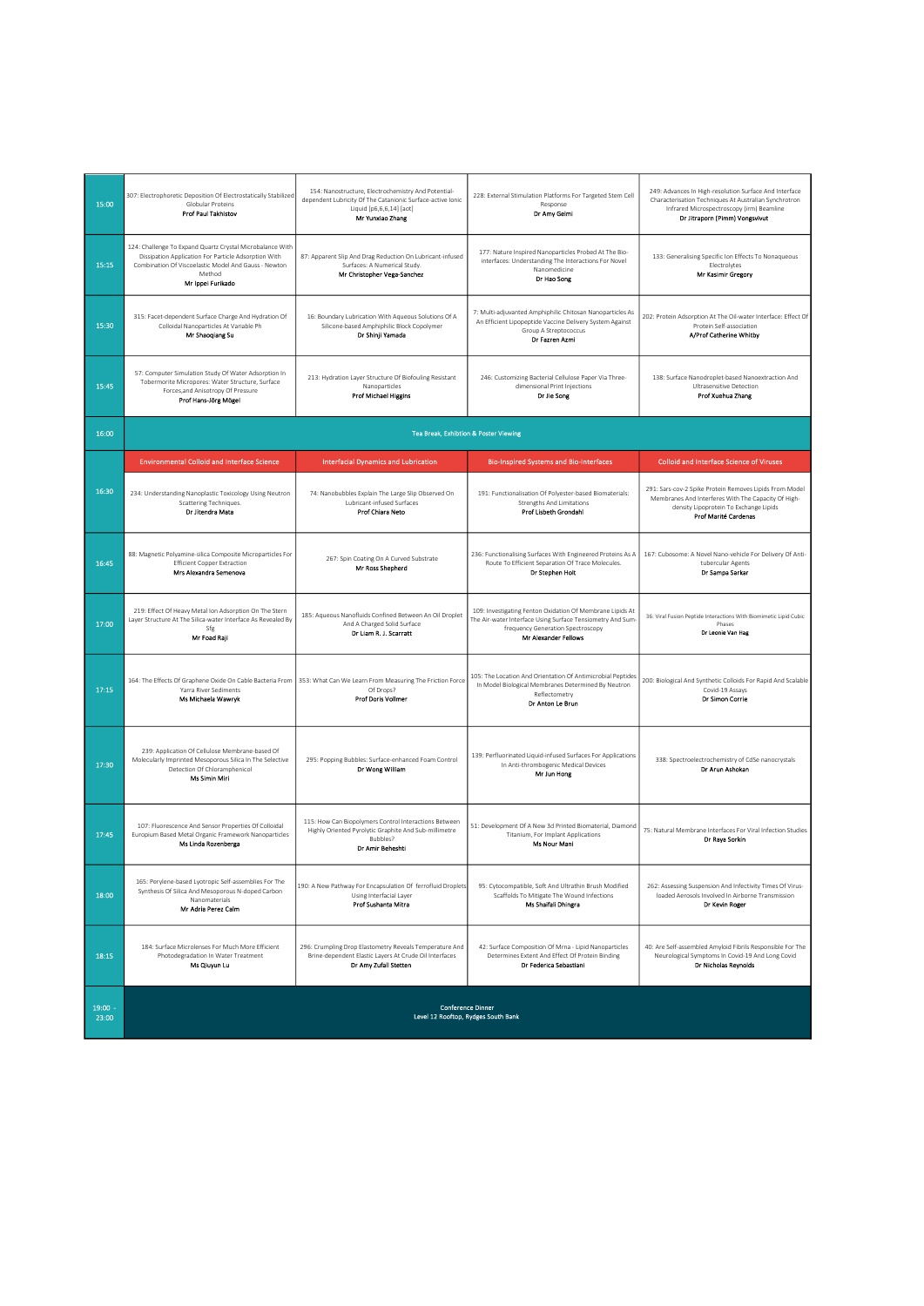| 15:00              | 307: Electrophoretic Deposition Of Electrostatically Stabilized<br>Globular Proteins<br>Prof Paul Takhistov                                                                                              | 154: Nanostructure, Electrochemistry And Potential-<br>dependent Lubricity Of The Catanionic Surface-active Ionic<br>Liquid [p6,6,6,14] [aot]<br>Mr Yunxiao Zhang | 228: External Stimulation Platforms For Targeted Stem Cell<br>Response<br>Dr Amy Gelmi                                                                                               | 249: Advances In High-resolution Surface And Interface<br>Characterisation Techniques At Australian Synchrotron<br>Infrared Microspectroscopy (irm) Beamline<br>Dr Jitraporn (Pimm) Vongsvivut |
|--------------------|----------------------------------------------------------------------------------------------------------------------------------------------------------------------------------------------------------|-------------------------------------------------------------------------------------------------------------------------------------------------------------------|--------------------------------------------------------------------------------------------------------------------------------------------------------------------------------------|------------------------------------------------------------------------------------------------------------------------------------------------------------------------------------------------|
| 15:15              | 124: Challenge To Expand Quartz Crystal Microbalance With<br>Dissipation Application For Particle Adsorption With<br>Combination Of Viscoelastic Model And Gauss - Newton<br>Method<br>Mr Ippei Furikado | 87: Apparent Slip And Drag Reduction On Lubricant-infused<br>Surfaces: A Numerical Study.<br>Mr Christopher Vega-Sanchez                                          | 177: Nature Inspired Nanoparticles Probed At The Bio-<br>interfaces: Understanding The Interactions For Novel<br>Nanomedicine<br>Dr Hao Song                                         | 133: Generalising Specific Ion Effects To Nonaqueous<br>Electrolytes<br>Mr Kasimir Gregory                                                                                                     |
| 15:30              | 315: Facet-dependent Surface Charge And Hydration Of<br>Colloidal Nanoparticles At Variable Ph<br>Mr Shaoqiang Su                                                                                        | 16: Boundary Lubrication With Aqueous Solutions Of A<br>Silicone-based Amphiphilic Block Copolymer<br>Dr Shinji Yamada                                            | 7: Multi-adjuvanted Amphiphilic Chitosan Nanoparticles As<br>An Efficient Lipopeptide Vaccine Delivery System Against<br>Group A Streptococcus<br>Dr Fazren Azmi                     | 202: Protein Adsorption At The Oil-water Interface: Effect Of<br>Protein Self-association<br>A/Prof Catherine Whitby                                                                           |
| 15:45              | 57: Computer Simulation Study Of Water Adsorption In<br>Tobermorite Micropores: Water Structure, Surface<br>Forces, and Anisotropy Of Pressure<br>Prof Hans-Jörg Mögel                                   | 213: Hydration Layer Structure Of Biofouling Resistant<br>Nanonarticles<br><b>Prof Michael Higgins</b>                                                            | 246: Customizing Bacterial Cellulose Paper Via Three-<br>dimensional Print Injections<br>Dr Jie Song                                                                                 | 138: Surface Nanodroplet-based Nanoextraction And<br><b>Ultrasensitive Detection</b><br>Prof Xuehua Zhang                                                                                      |
| 16:00              |                                                                                                                                                                                                          | Tea Break, Exhibtion & Poster Viewing                                                                                                                             |                                                                                                                                                                                      |                                                                                                                                                                                                |
|                    | <b>Environmental Colloid and Interface Science</b>                                                                                                                                                       | <b>Interfacial Dynamics and Lubrication</b>                                                                                                                       | <b>Bio-Inspired Systems and Bio-Interfaces</b>                                                                                                                                       | <b>Colloid and Interface Science of Viruses</b>                                                                                                                                                |
| 16:30              | 234: Understanding Nanoplastic Toxicology Using Neutron<br>Scattering Techniques.<br>Dr Jitendra Mata                                                                                                    | 74: Nanobubbles Explain The Large Slip Observed On<br>Lubricant-infused Surfaces<br>Prof Chiara Neto                                                              | 191: Functionalisation Of Polyester-based Biomaterials:<br><b>Strengths And Limitations</b><br>Prof Lisbeth Grondahl                                                                 | 291: Sars-cov-2 Spike Protein Removes Lipids From Model<br>Membranes And Interferes With The Capacity Of High-<br>density Lipoprotein To Exchange Lipids<br>Prof Marité Cardenas               |
| 16:45              | 88: Magnetic Polyamine-silica Composite Microparticles For<br><b>Efficient Copper Extraction</b><br>Mrs Alexandra Semenova                                                                               | 267: Spin Coating On A Curved Substrate<br>Mr Ross Shepherd                                                                                                       | 236: Functionalising Surfaces With Engineered Proteins As A<br>Route To Efficient Separation Of Trace Molecules.<br>Dr Stephen Holt                                                  | 167: Cubosome: A Novel Nano-vehicle For Delivery Of Anti-<br>tubercular Agents<br>Dr Sampa Sarkar                                                                                              |
| 17:00              | 219: Effect Of Heavy Metal Ion Adsorption On The Stern<br>Layer Structure At The Silica-water Interface As Revealed By<br>Sfg<br>Mr Foad Raji                                                            | 185: Aqueous Nanofluids Confined Between An Oil Droplet<br>And A Charged Solid Surface<br>Dr Liam R. J. Scarratt                                                  | 109: Investigating Fenton Oxidation Of Membrane Lipids At<br>The Air-water Interface Using Surface Tensiometry And Sum-<br>frequency Generation Spectroscopy<br>Mr Alexander Fellows | 36: Viral Fusion Peptide Interactions With Biomimetic Lipid Cubic<br>Phases<br>Dr Leonie Van Hag                                                                                               |
| 17:15              | 164: The Effects Of Graphene Oxide On Cable Bacteria From<br>Yarra River Sediments<br>Ms Michaela Wawryk                                                                                                 | 353: What Can We Learn From Measuring The Friction Force<br>Of Drops?<br><b>Prof Doris Vollmer</b>                                                                | 105: The Location And Orientation Of Antimicrobial Peptides<br>In Model Biological Membranes Determined By Neutron<br>Reflectometry<br>Dr Anton Le Brun                              | 200: Biological And Synthetic Colloids For Rapid And Scalable<br>Covid-19 Assays<br>Dr Simon Corrie                                                                                            |
| 17:30              | 239: Application Of Cellulose Membrane-based Of<br>Molecularly Imprinted Mesoporous Silica In The Selective<br>Detection Of Chloramphenicol<br>Ms Simin Miri                                             | 295: Popping Bubbles: Surface-enhanced Foam Control<br>Dr Wong William                                                                                            | 139: Perfluorinated Liquid-infused Surfaces For Applications<br>In Anti-thrombogenic Medical Devices<br>Mr Jun Hong                                                                  | 338: Spectroelectrochemistry of CdSe nanocrystals<br>Dr Arun Ashokan                                                                                                                           |
| 17:45              | 107: Fluorescence And Sensor Properties Of Colloidal<br>Europium Based Metal Organic Framework Nanoparticles<br>Ms Linda Rozenberga                                                                      | 115: How Can Biopolymers Control Interactions Between<br>Highly Oriented Pyrolytic Graphite And Sub-millimetre<br>Bubbles?<br>Dr Amir Beheshti                    | 51: Development Of A New 3d Printed Biomaterial, Diamond<br>Titanium, For Implant Applications<br>Ms Nour Mani                                                                       | 75: Natural Membrane Interfaces For Viral Infection Studies<br>Dr Raya Sorkin                                                                                                                  |
| 18:00              | 165: Perylene-based Lyotropic Self-assemblies For The<br>Synthesis Of Silica And Mesoporous N-doped Carbon<br>Nanomaterials<br>Mr Adria Perez Calm                                                       | 190: A New Pathway For Encapsulation Of ferrofluid Droplets<br>Using Interfacial Layer<br>Prof Sushanta Mitra                                                     | 95: Cytocompatible, Soft And Ultrathin Brush Modified<br>Scaffolds To Mitigate The Wound Infections<br>Ms Shaifali Dhingra                                                           | 262: Assessing Suspension And Infectivity Times Of Virus-<br>loaded Aerosols Involved In Airborne Transmission<br>Dr Kevin Roger                                                               |
| 18:15              | 184: Surface Microlenses For Much More Efficient<br>Photodegradation In Water Treatment<br>Ms Qiuyun Lu                                                                                                  | 296: Crumpling Drop Elastometry Reveals Temperature And<br>Brine-dependent Elastic Layers At Crude Oil Interfaces<br>Dr Amy Zufall Stetten                        | 42: Surface Composition Of Mrna - Lipid Nanoparticles<br>Determines Extent And Effect Of Protein Binding<br>Dr Federica Sebastiani                                                   | 40: Are Self-assembled Amyloid Fibrils Responsible For The<br>Neurological Symptoms In Covid-19 And Long Covid<br>Dr Nicholas Reynolds                                                         |
| $19:00 -$<br>23:00 | <b>Conference Dinner</b><br>Level 12 Rooftop, Rydges South Bank                                                                                                                                          |                                                                                                                                                                   |                                                                                                                                                                                      |                                                                                                                                                                                                |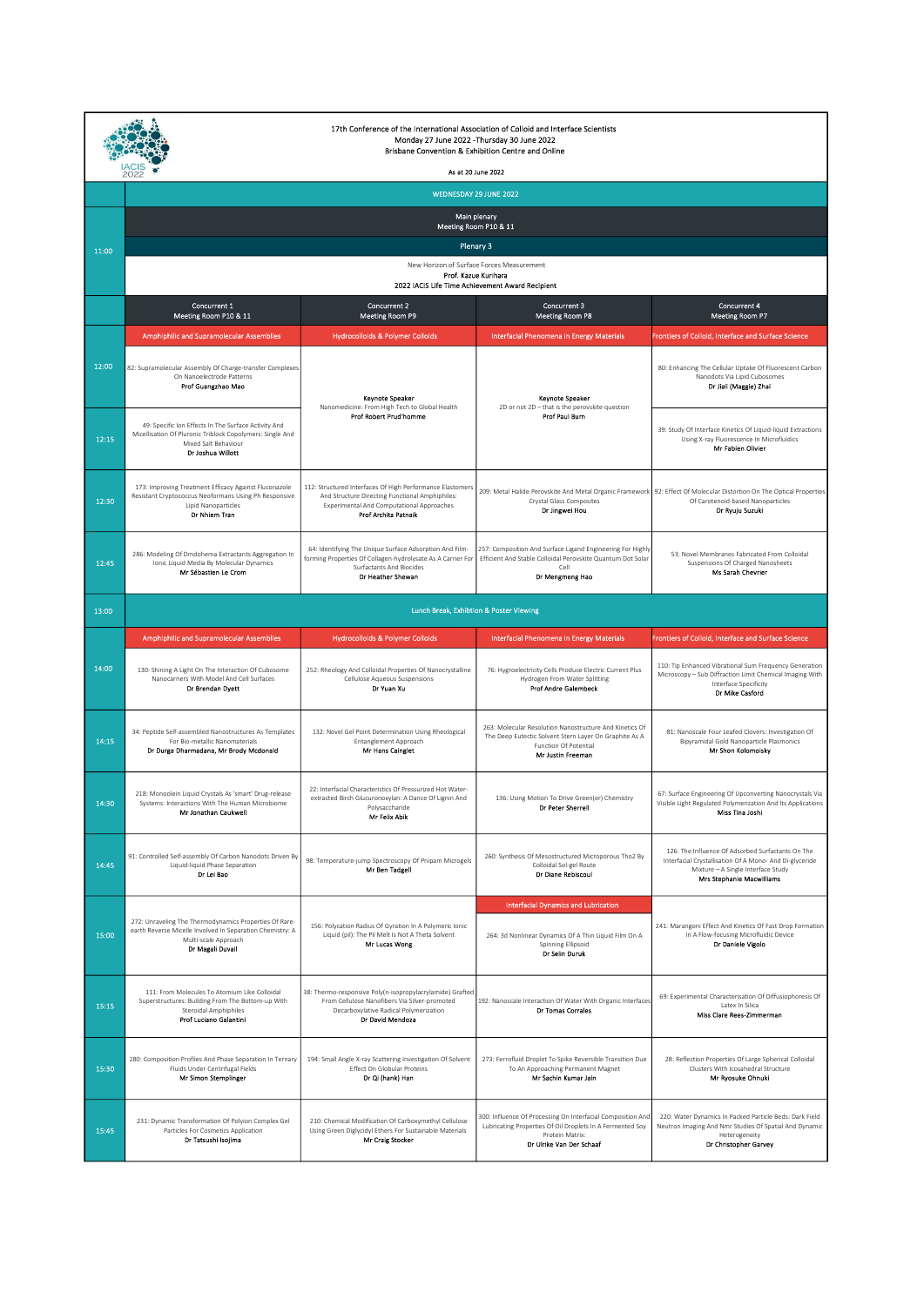| 17th Conference of the International Association of Colloid and Interface Scientists<br>Monday 27 June 2022 - Thursday 30 June 2022<br>Brisbane Convention & Exhibition Centre and Online |                                                                                                                                                                 |                                                                                                                                                                                   |                                                                                                                                                                         |                                                                                                                                                                                        |  |  |
|-------------------------------------------------------------------------------------------------------------------------------------------------------------------------------------------|-----------------------------------------------------------------------------------------------------------------------------------------------------------------|-----------------------------------------------------------------------------------------------------------------------------------------------------------------------------------|-------------------------------------------------------------------------------------------------------------------------------------------------------------------------|----------------------------------------------------------------------------------------------------------------------------------------------------------------------------------------|--|--|
|                                                                                                                                                                                           | As at 20 June 2022<br>2022                                                                                                                                      |                                                                                                                                                                                   |                                                                                                                                                                         |                                                                                                                                                                                        |  |  |
|                                                                                                                                                                                           | WEDNESDAY 29 JUNE 2022                                                                                                                                          |                                                                                                                                                                                   |                                                                                                                                                                         |                                                                                                                                                                                        |  |  |
|                                                                                                                                                                                           | Main plenary<br>Meeting Room P10 & 11                                                                                                                           |                                                                                                                                                                                   |                                                                                                                                                                         |                                                                                                                                                                                        |  |  |
| 11:00                                                                                                                                                                                     | Plenary 3                                                                                                                                                       |                                                                                                                                                                                   |                                                                                                                                                                         |                                                                                                                                                                                        |  |  |
|                                                                                                                                                                                           | New Horizon of Surface Forces Measurement<br>Prof. Kazue Kurihara<br>2022 IACIS Life Time Achievement Award Recipient                                           |                                                                                                                                                                                   |                                                                                                                                                                         |                                                                                                                                                                                        |  |  |
|                                                                                                                                                                                           | Concurrent 1<br>Meeting Room P10 & 11                                                                                                                           | <b>Concurrent 2</b><br>Meeting Room P9                                                                                                                                            | Concurrent 3<br><b>Meeting Room P8</b>                                                                                                                                  | Concurrent 4<br><b>Meeting Room P7</b>                                                                                                                                                 |  |  |
|                                                                                                                                                                                           | <b>Amphiphilic and Supramolecular Assemblies</b>                                                                                                                | <b>Hydrocolloids &amp; Polymer Colloids</b>                                                                                                                                       | <b>Interfacial Phenomena in Energy Materials</b>                                                                                                                        | Frontiers of Colloid, Interface and Surface Science                                                                                                                                    |  |  |
| 12:00                                                                                                                                                                                     | 82: Supramolecular Assembly Of Charge-transfer Complexes<br>On Nanoelectrode Patterns<br>Prof Guangzhao Mao                                                     | Keynote Speaker<br>Nanomedicine: From High Tech to Global Health                                                                                                                  | <b>Keynote Speaker</b><br>2D or not 2D - that is the perovskite question                                                                                                | 80: Enhancing The Cellular Uptake Of Fluorescent Carbon<br>Nanodots Via Lipid Cubosomes<br>Dr Jiali (Maggie) Zhai                                                                      |  |  |
| 12:15                                                                                                                                                                                     | 49: Specific Ion Effects In The Surface Activity And<br>Micellisation Of Pluronic Triblock Copolymers: Single And<br>Mixed Salt Behaviour<br>Dr Joshua Willott  | <b>Prof Robert Prud'homme</b>                                                                                                                                                     | Prof Paul Burn                                                                                                                                                          | 39: Study Of Interface Kinetics Of Liquid-liquid Extractions<br>Using X-ray Fluorescence In Microfluidics<br>Mr Fabien Olivier                                                         |  |  |
| 12:30                                                                                                                                                                                     | 173: Improving Treatment Efficacy Against Fluconazole<br>Resistant Cryptococcus Neoformans Using Ph Responsive<br><b>Lipid Nanoparticles</b><br>Dr Nhiem Tran   | 112: Structured Interfaces Of High Performance Elastomers<br>And Structure Directing Functional Amphiphiles:<br>Experimental And Computational Approaches<br>Prof Archita Patnaik | Crystal Glass Composites<br>Dr Jingwei Hou                                                                                                                              | 209: Metal Halide Perovskite And Metal Organic Framework 92: Effect Of Molecular Distortion On The Optical Properties<br>Of Carotenoid-based Nanoparticles<br>Dr Ryuju Suzuki          |  |  |
| 12:45                                                                                                                                                                                     | 286: Modeling Of Dmdohema Extractants Aggregation In<br>Ionic Liquid Media By Molecular Dynamics<br>Mr Sébastien Le Crom                                        | 64: Identifying The Unique Surface Adsorption And Film-<br>forming Properties Of Collagen-hydrolysate As A Carrier For<br><b>Surfactants And Biocides</b><br>Dr Heather Shewan    | 257: Composition And Surface Ligand Engineering For Highly<br>Efficient And Stable Colloidal Perovskite Quantum Dot Solar<br>Cell<br>Dr Mengmeng Hao                    | 53: Novel Membranes Fabricated From Colloidal<br>Suspensions Of Charged Nanosheets<br>Ms Sarah Chevrier                                                                                |  |  |
| 13:00                                                                                                                                                                                     |                                                                                                                                                                 | Lunch Break, Exhibtion & Poster Viewing                                                                                                                                           |                                                                                                                                                                         |                                                                                                                                                                                        |  |  |
|                                                                                                                                                                                           | <b>Amphiphilic and Supramolecular Assemblies</b>                                                                                                                | <b>Hydrocolloids &amp; Polymer Colloids</b>                                                                                                                                       | Interfacial Phenomena in Energy Materials                                                                                                                               | Frontiers of Colloid, Interface and Surface Science                                                                                                                                    |  |  |
|                                                                                                                                                                                           |                                                                                                                                                                 |                                                                                                                                                                                   |                                                                                                                                                                         | 110: Tip Enhanced Vibrational Sum Frequency Generation                                                                                                                                 |  |  |
| 14:00                                                                                                                                                                                     | 130: Shining A Light On The Interaction Of Cubosome<br>Nanocarriers With Model And Cell Surfaces<br>Dr Brendan Dyett                                            | 252: Rheology And Colloidal Properties Of Nanocrystalline<br>Cellulose Aqueous Suspensions<br>Dr Yuan Xu                                                                          | 76: Hygroelectricity Cells Produce Electric Current Plus<br>Hydrogen From Water Splitting<br><b>Prof Andre Galembeck</b>                                                | Microscopy - Sub Diffraction Limit Chemical Imaging With<br>Interface Specificity<br>Dr Mike Casford                                                                                   |  |  |
| 14:15                                                                                                                                                                                     | 34: Peptide Self-assembled Nanostructures As Templates<br>For Bio-metallic Nanomaterials<br>Dr Durga Dharmadana, Mr Brody Mcdonald                              | 132: Novel Gel Point Determination Using Rheological<br>Entanglement Approach<br>Mr Hans Cainglet                                                                                 | 263: Molecular Resolution Nanostructure And Kinetics Of<br>The Deep Eutectic Solvent Stern Laver On Graphite As A<br>Function Of Potential<br>Mr Justin Freeman         | 81: Nanoscale Four Leafed Clovers: Investigation Of<br>Bipyramidal Gold Nanoparticle Plasmonics<br>Mr Shon Kolomoisky                                                                  |  |  |
| 14:30                                                                                                                                                                                     | 218: Monoolein Liquid Crystals As 'smart' Drug-release<br>Systems: Interactions With The Human Microbiome<br>Mr Jonathan Caukwell                               | 22: Interfacial Characteristics Of Pressurized Hot Water-<br>extracted Birch Glucuronoxylan: A Dance Of Lignin And<br>Polysaccharide<br>Mr Felix Abik                             | 136: Using Motion To Drive Green(er) Chemistry<br>Dr Peter Sherrel                                                                                                      | 67: Surface Engineering Of Upconverting Nanocrystals Via<br>Visible Light Regulated Polymerization And Its Applications<br>Miss Tina Joshi                                             |  |  |
| 14:45                                                                                                                                                                                     | 91: Controlled Self-assembly Of Carbon Nanodots Driven By<br>Liquid-liquid Phase Separation<br>Dr Lei Bao                                                       | 98: Temperature-jump Spectroscopy Of Pnipam Microgels<br>Mr Ben Tadgell                                                                                                           | 260: Synthesis Of Mesostructured Microporous Tho2 By<br>Colloidal Sol-gel Route<br>Dr Diane Rebiscoul                                                                   | 126: The Influence Of Adsorbed Surfactants On The<br>Interfacial Crystallisation Of A Mono- And Di-glyceride<br>Mixture - A Single Interface Study<br><b>Mrs Stephanie Macwilliams</b> |  |  |
| 15:00                                                                                                                                                                                     | 272: Unraveling The Thermodynamics Properties Of Rare-<br>earth Reverse Micelle Involved In Separation Chemistry: A<br>Multi-scale Approach<br>Dr Magali Duvail | 156: Polycation Radius Of Gyration In A Polymeric Ionic<br>Liquid (pil): The Pil Melt Is Not A Theta Solvent<br>Mr Lucas Wong                                                     | Interfacial Dynamics and Lubrication<br>264: 3d Nonlinear Dynamics Of A Thin Liquid Film On A<br>Spinning Ellipsoid<br>Dr Selin Duruk                                   | 241: Marangoni Effect And Kinetics Of Fast Drop Formation<br>In A Flow-focusing Microfluidic Device<br>Dr Daniele Vigolo                                                               |  |  |
| 15:15                                                                                                                                                                                     | 111: From Molecules To Atomium Like Colloidal<br>Superstructures: Building From The Bottom-up With<br>Steroidal Amphiphiles<br>Prof Luciano Galantini           | 38: Thermo-responsive Poly(n-isopropylacrylamide) Grafted<br>From Cellulose Nanofibers Via Silver-promoted<br>Decarboxylative Radical Polymerization<br>Dr David Mendoza          | 192: Nanoscale Interaction Of Water With Organic Interfaces<br>Dr Tomas Corrales                                                                                        | 69: Experimental Characterisation Of Diffusiophoresis Of<br>Latex In Silica<br>Miss Clare Rees-Zimmerman                                                                               |  |  |
| 15:30                                                                                                                                                                                     | 280: Composition Profiles And Phase Separation In Ternary<br>Fluids Under Centrifugal Fields<br>Mr Simon Stemplinger                                            | 194: Small Angle X-ray Scattering Investigation Of Solvent<br>Effect On Globular Proteins<br>Dr Qi (hank) Han                                                                     | 273: Ferrofluid Droplet To Spike Reversible Transition Due<br>To An Approaching Permanent Magnet<br>Mr Sachin Kumar Jain                                                | 28: Reflection Properties Of Large Spherical Colloidal<br>Clusters With Icosahedral Structure<br>Mr Ryosuke Ohnuki                                                                     |  |  |
| 15:45                                                                                                                                                                                     | 231: Dynamic Transformation Of Polyion Complex Gel<br>Particles For Cosmetics Application<br>Dr Tatsushi Isojima                                                | 210: Chemical Modification Of Carboxymethyl Cellulose<br>Using Green Diglycidyl Ethers For Sustainable Materials<br>Mr Craig Stocker                                              | 300: Influence Of Processing On Interfacial Composition And<br>Lubricating Properties Of Oil Droplets In A Fermented Soy<br>Protein Matrix:<br>Dr Ulrike Van Der Schaaf | 220: Water Dynamics In Packed Particle Beds: Dark Field<br>Neutron Imaging And Nmr Studies Of Spatial And Dynamic<br>Heterogeneity<br>Dr Christopher Garvey                            |  |  |